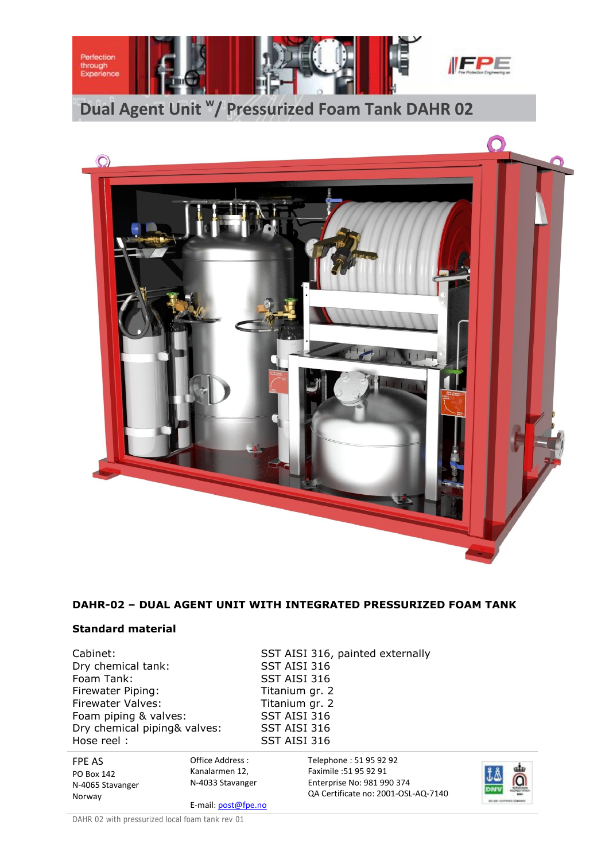



# **DAHR-02 – DUAL AGENT UNIT WITH INTEGRATED PRESSURIZED FOAM TANK**

## **Standard material**

Cabinet: SST AISI 316, painted externally Dry chemical tank: SST AISI 316 Foam Tank: SST AISI 316 Firewater Piping: Titanium gr. 2 Firewater Valves: Titanium gr. 2 Foam piping & valves: SST AISI 316 Dry chemical piping& valves: SST AISI 316 Hose reel : SST AISI 316

FPE AS PO Box 142 N-4065 Stavanger Norway Office Address : Kanalarmen 12, N-4033 Stavanger E-mail: post@fpe.no Telephone : 51 95 92 92 Faximile :51 95 92 91 Enterprise No: 981 990 374 QA Certificate no: 2001-OSL-AQ-7140

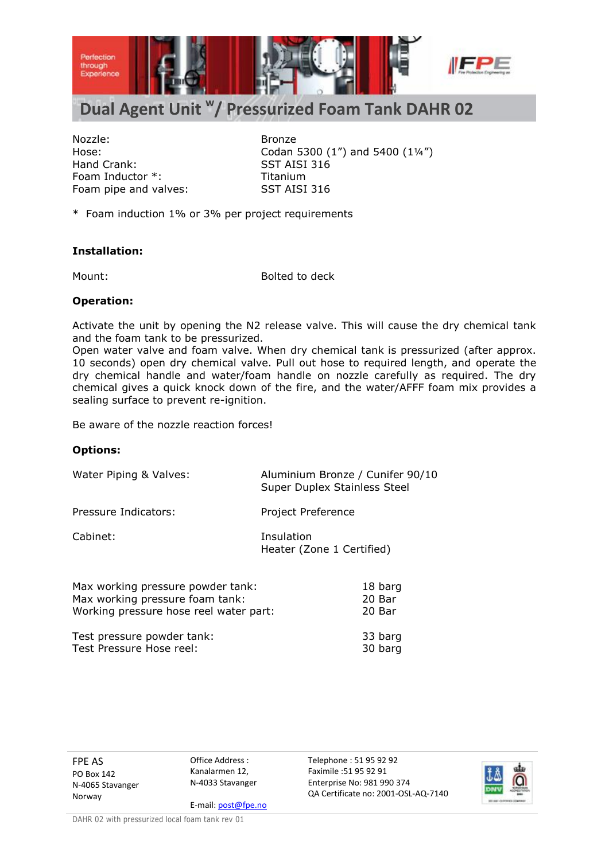

# **Dual Agent Unit <sup>w</sup> / Pressurized Foam Tank DAHR 02**

Nozzle: Bronze Hand Crank: SST AISI 316 Foam Inductor \*: Titanium Foam pipe and valves: SST AISI 316

Hose: Codan 5300 (1") and 5400 (1¼")

\* Foam induction 1% or 3% per project requirements

## **Installation:**

Mount: Bolted to deck

#### **Operation:**

Activate the unit by opening the N2 release valve. This will cause the dry chemical tank and the foam tank to be pressurized.

Open water valve and foam valve. When dry chemical tank is pressurized (after approx. 10 seconds) open dry chemical valve. Pull out hose to required length, and operate the dry chemical handle and water/foam handle on nozzle carefully as required. The dry chemical gives a quick knock down of the fire, and the water/AFFF foam mix provides a sealing surface to prevent re-ignition.

Be aware of the nozzle reaction forces!

## **Options:**

| Water Piping & Valves: | Aluminium Bronze / Cunifer 90/10<br>Super Duplex Stainless Steel |
|------------------------|------------------------------------------------------------------|
| Pressure Indicators:   | Project Preference                                               |
| Cabinet:               | Insulation<br>Heater (Zone 1 Certified)                          |

| Max working pressure powder tank:      | 18 barg |
|----------------------------------------|---------|
| Max working pressure foam tank:        | 20 Bar  |
| Working pressure hose reel water part: | 20 Bar  |
| Test pressure powder tank:             | 33 barg |
| Test Pressure Hose reel:               | 30 barg |

FPE AS PO Box 142 N-4065 Stavanger Norway

Office Address : Kanalarmen 12, N-4033 Stavanger

E-mail: post@fpe.no

Telephone : 51 95 92 92 Faximile :51 95 92 91 Enterprise No: 981 990 374 QA Certificate no: 2001-OSL-AQ-7140

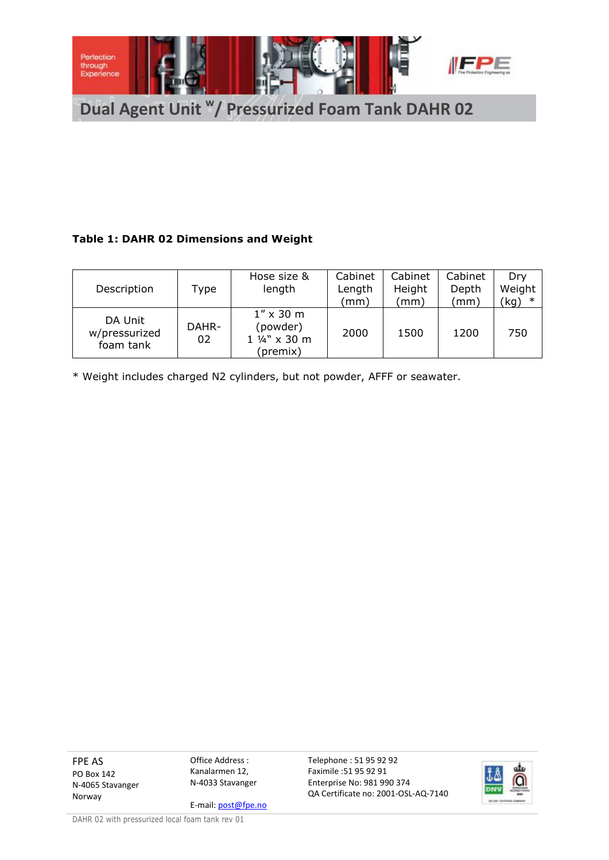

# **Table 1: DAHR 02 Dimensions and Weight**

|                                       |             | Hose size &                                                | Cabinet | Cabinet | Cabinet | Drv    |
|---------------------------------------|-------------|------------------------------------------------------------|---------|---------|---------|--------|
| Description                           | Type        | length                                                     | Length  | Height  | Depth   | Weight |
|                                       |             |                                                            | (mm)    | (mm     | (mm)    | 'kg)   |
| DA Unit<br>w/pressurized<br>foam tank | DAHR-<br>02 | $1'' \times 30$ m<br>(powder)<br>1 1/4" x 30 m<br>(premix) | 2000    | 1500    | 1200    | 750    |

\* Weight includes charged N2 cylinders, but not powder, AFFF or seawater.

FPE AS PO Box 142 N-4065 Stavanger Norway

Office Address : Kanalarmen 12, N-4033 Stavanger

E-mail: post@fpe.no

Telephone : 51 95 92 92 Faximile :51 95 92 91 Enterprise No: 981 990 374 QA Certificate no: 2001-OSL-AQ-7140

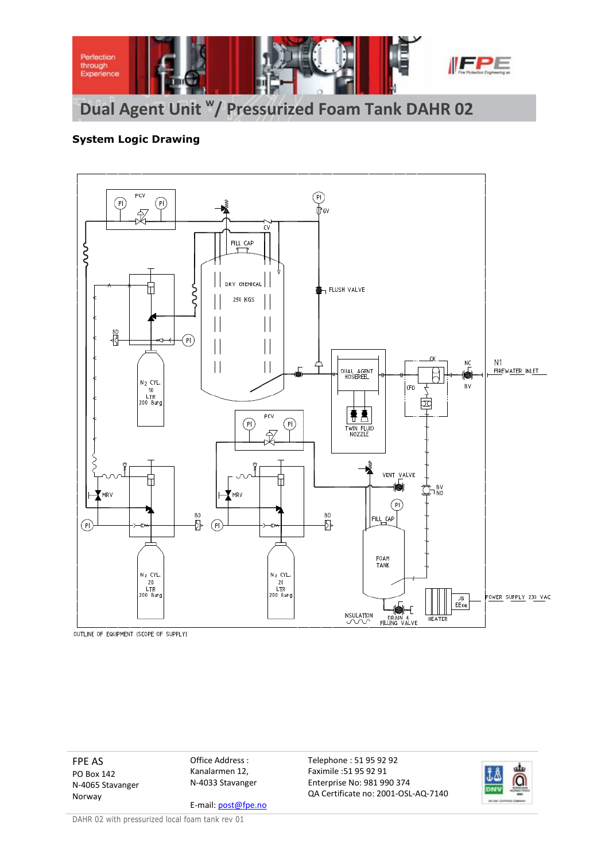

# **System Logic Drawing**



OUTLINE OF EQUIPMENT (SCOPE OF SUPPLY)

FPE AS PO Box 142 N-4065 Stavanger Norway

Office Address : Kanalarmen 12, N-4033 Stavanger

E-mail: post@fpe.no

Telephone : 51 95 92 92 Faximile :51 95 92 91 Enterprise No: 981 990 374 QA Certificate no: 2001-OSL-AQ-7140

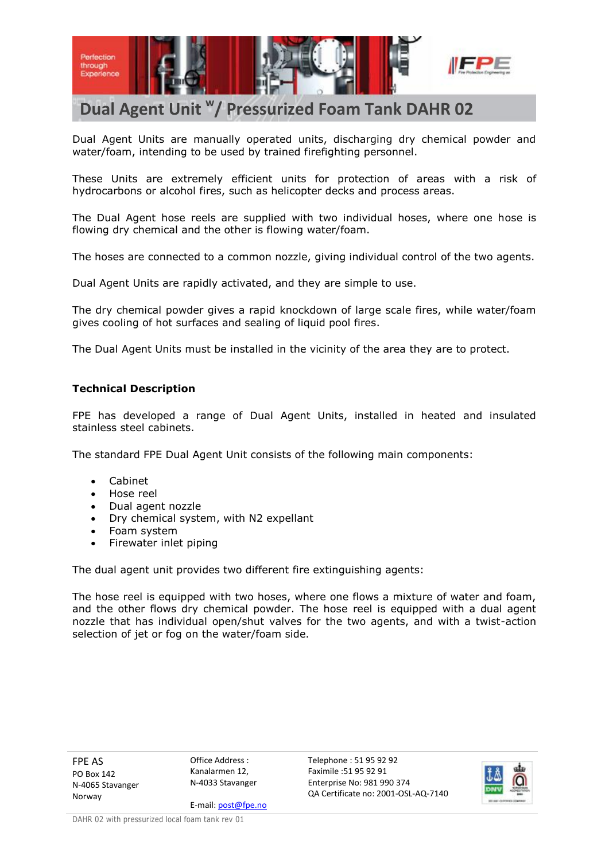

# **Dual Agent Unit <sup>w</sup> / Pressurized Foam Tank DAHR 02**

Dual Agent Units are manually operated units, discharging dry chemical powder and water/foam, intending to be used by trained firefighting personnel.

These Units are extremely efficient units for protection of areas with a risk of hydrocarbons or alcohol fires, such as helicopter decks and process areas.

The Dual Agent hose reels are supplied with two individual hoses, where one hose is flowing dry chemical and the other is flowing water/foam.

The hoses are connected to a common nozzle, giving individual control of the two agents.

Dual Agent Units are rapidly activated, and they are simple to use.

The dry chemical powder gives a rapid knockdown of large scale fires, while water/foam gives cooling of hot surfaces and sealing of liquid pool fires.

The Dual Agent Units must be installed in the vicinity of the area they are to protect.

## **Technical Description**

FPE has developed a range of Dual Agent Units, installed in heated and insulated stainless steel cabinets.

The standard FPE Dual Agent Unit consists of the following main components:

- Cabinet
- Hose reel
- Dual agent nozzle
- Dry chemical system, with N2 expellant
- Foam system
- Firewater inlet piping

The dual agent unit provides two different fire extinguishing agents:

The hose reel is equipped with two hoses, where one flows a mixture of water and foam, and the other flows dry chemical powder. The hose reel is equipped with a dual agent nozzle that has individual open/shut valves for the two agents, and with a twist-action selection of jet or fog on the water/foam side.

FPE AS PO Box 142 N-4065 Stavanger Norway

Office Address : Kanalarmen 12, N-4033 Stavanger

E-mail: post@fpe.no

Telephone : 51 95 92 92 Faximile :51 95 92 91 Enterprise No: 981 990 374 QA Certificate no: 2001-OSL-AQ-7140

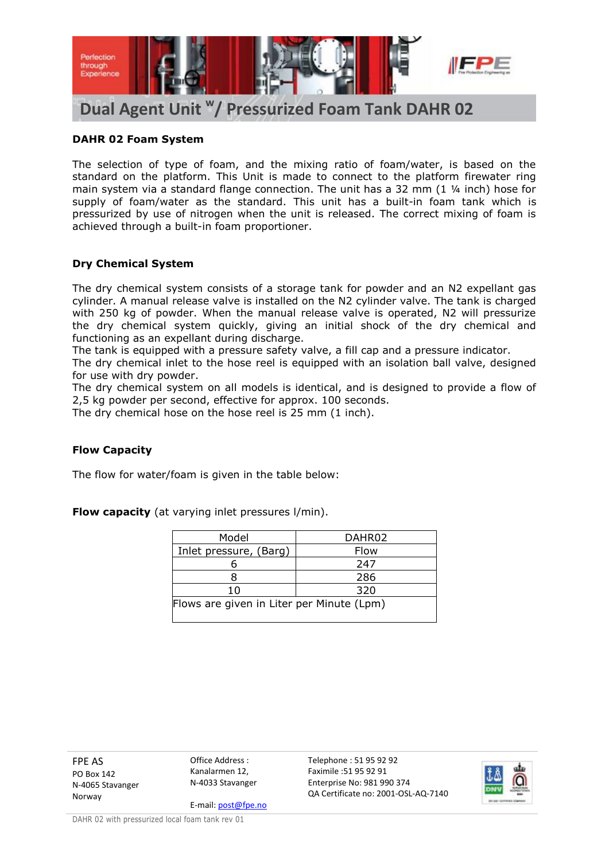

# **DAHR 02 Foam System**

The selection of type of foam, and the mixing ratio of foam/water, is based on the standard on the platform. This Unit is made to connect to the platform firewater ring main system via a standard flange connection. The unit has a 32 mm  $(1 \times$  inch) hose for supply of foam/water as the standard. This unit has a built-in foam tank which is pressurized by use of nitrogen when the unit is released. The correct mixing of foam is achieved through a built-in foam proportioner.

## **Dry Chemical System**

The dry chemical system consists of a storage tank for powder and an N2 expellant gas cylinder. A manual release valve is installed on the N2 cylinder valve. The tank is charged with 250 kg of powder. When the manual release valve is operated, N2 will pressurize the dry chemical system quickly, giving an initial shock of the dry chemical and functioning as an expellant during discharge.

The tank is equipped with a pressure safety valve, a fill cap and a pressure indicator.

The dry chemical inlet to the hose reel is equipped with an isolation ball valve, designed for use with dry powder.

The dry chemical system on all models is identical, and is designed to provide a flow of 2,5 kg powder per second, effective for approx. 100 seconds.

The dry chemical hose on the hose reel is 25 mm (1 inch).

## **Flow Capacity**

The flow for water/foam is given in the table below:

**Flow capacity** (at varying inlet pressures l/min).

| Model                                     | DAHR02 |  |  |  |
|-------------------------------------------|--------|--|--|--|
| Inlet pressure, (Barg)                    | Flow   |  |  |  |
|                                           | 247    |  |  |  |
|                                           | 286    |  |  |  |
| 10                                        | 320    |  |  |  |
| Flows are given in Liter per Minute (Lpm) |        |  |  |  |

FPE AS PO Box 142 N-4065 Stavanger Norway

Office Address : Kanalarmen 12, N-4033 Stavanger

E-mail: post@fpe.no

Telephone : 51 95 92 92 Faximile :51 95 92 91 Enterprise No: 981 990 374 QA Certificate no: 2001-OSL-AQ-7140